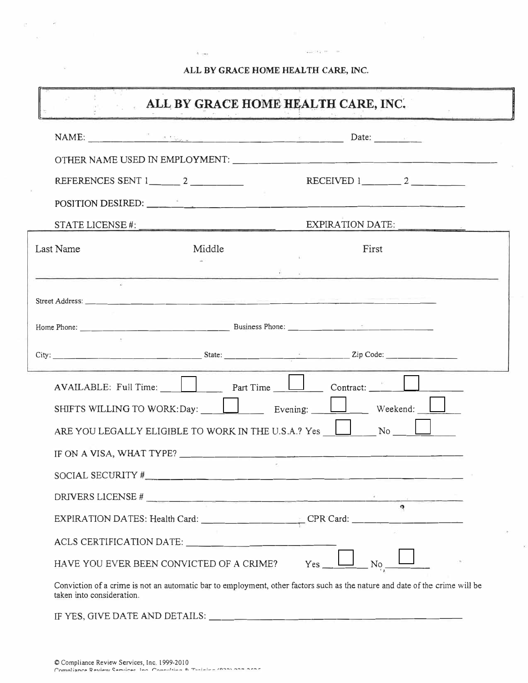## ALL BY GRACE HOME HEALTH CARE, INC.

 $\tilde{\gamma}$  and

 $\langle 22400\rangle$  (except  $\langle 001$ 

 $\mathbb{R}^+$ 

<u>i a mandala</u><br>I

Ý.

| ALL BY GRACE HOME HEALTH CARE, INC.<br>Assessment |                                                                                                                                                                                                                                                                                   |                                   |                |  |  |  |
|---------------------------------------------------|-----------------------------------------------------------------------------------------------------------------------------------------------------------------------------------------------------------------------------------------------------------------------------------|-----------------------------------|----------------|--|--|--|
|                                                   | NAME: <u>And the same of the same of the same of the same of the same of the same of the same of the same of the same of the same of the same of the same of the same of the same of the same of the same of the same of the sam</u>                                              |                                   |                |  |  |  |
|                                                   |                                                                                                                                                                                                                                                                                   |                                   |                |  |  |  |
|                                                   | REFERENCES SENT $1 \_ 2 \_ 2 \_ 1 \_ 1 \_ 2 \_ 2 \_ 2 \_ 3 \_ 1 \_ 2 \_ 2 \_ 3 \_ 3 \_ 4 \_ 5 \_ 6 \_ 7 \_ 8 \_ 1 \_ 1 \_ 2 \_ 2 \_ 3 \_ 3 \_ 4 \_ 6 \_ 7 \_ 8 \_ 1 \_ 1 \_ 2 \_ 3 \_ 1 \_ 3 \_ 1 \_ 1 \_ 2 \_ 3 \_ 1 \_ 3 \_ 1 \_ 4 \_ 1 \_ 1 \_ 2 \_ 1 \_ 3 \_ 1 \_ 4 \_ 1 \_ $ |                                   |                |  |  |  |
|                                                   | POSITION DESIRED:                                                                                                                                                                                                                                                                 |                                   |                |  |  |  |
|                                                   |                                                                                                                                                                                                                                                                                   | STATE LICENSE #: EXPIRATION DATE: |                |  |  |  |
| Last Name                                         | Middle                                                                                                                                                                                                                                                                            |                                   | First          |  |  |  |
|                                                   |                                                                                                                                                                                                                                                                                   |                                   |                |  |  |  |
|                                                   |                                                                                                                                                                                                                                                                                   |                                   |                |  |  |  |
|                                                   |                                                                                                                                                                                                                                                                                   |                                   |                |  |  |  |
|                                                   |                                                                                                                                                                                                                                                                                   |                                   |                |  |  |  |
|                                                   |                                                                                                                                                                                                                                                                                   |                                   |                |  |  |  |
|                                                   |                                                                                                                                                                                                                                                                                   |                                   |                |  |  |  |
|                                                   | ARE YOU LEGALLY ELIGIBLE TO WORK IN THE U.S.A.? Yes $\Box$ No $\Box$                                                                                                                                                                                                              |                                   |                |  |  |  |
|                                                   |                                                                                                                                                                                                                                                                                   |                                   |                |  |  |  |
|                                                   |                                                                                                                                                                                                                                                                                   |                                   |                |  |  |  |
|                                                   | DRIVERS LICENSE #                                                                                                                                                                                                                                                                 |                                   |                |  |  |  |
|                                                   |                                                                                                                                                                                                                                                                                   |                                   |                |  |  |  |
|                                                   | ACLS CERTIFICATION DATE:                                                                                                                                                                                                                                                          |                                   |                |  |  |  |
|                                                   | HAVE YOU EVER BEEN CONVICTED OF A CRIME?                                                                                                                                                                                                                                          | Yes                               | N <sub>0</sub> |  |  |  |
| taken into consideration.                         | Conviction of a crime is not an automatic bar to employment, other factors such as the nature and date of the crime will be                                                                                                                                                       |                                   |                |  |  |  |

IF YES, GIVE DATE AND DETAILS: \_\_\_\_\_\_\_\_\_\_\_\_\_\_\_\_

 $\sim$ 

 $\approx$ 

 $\mathbb{C}$  $\sim$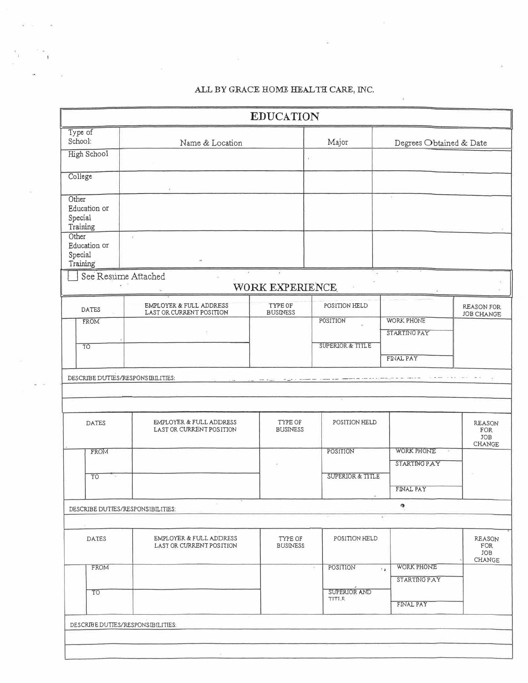## ALL BY GRACE HOME HEALTH CARE, INC.

72

|                                              |                                                     | <b>EDUCATION</b>           |                             |                                                        |                                              |
|----------------------------------------------|-----------------------------------------------------|----------------------------|-----------------------------|--------------------------------------------------------|----------------------------------------------|
| Type of<br>School:                           | Name & Location                                     |                            | Major                       | Degrees Obtained & Date                                |                                              |
| <b>High School</b>                           |                                                     |                            | F.                          |                                                        |                                              |
| College                                      |                                                     |                            |                             |                                                        |                                              |
| Other<br>Education or<br>Special<br>Training |                                                     |                            |                             | ×                                                      |                                              |
| Other<br>Education or<br>Special<br>Training | $^{(k)}$                                            |                            |                             |                                                        |                                              |
| See Resume Attached                          |                                                     | WORK EXPERIENCE            |                             |                                                        |                                              |
| DATES                                        | EMPLOYER & FULL ADDRESS<br>LAST OR CURRENT POSITION | TYPE OF<br><b>BUSINESS</b> | POSITION HELD               |                                                        | REASON FOR<br><b>JOB CHANGE</b>              |
| FROM                                         |                                                     |                            | POSITION                    | <b>WORK PHONE</b><br>STARTING PAY                      |                                              |
| TO                                           |                                                     |                            | <b>SUPERIOR &amp; TITLE</b> | FINAL PAY                                              |                                              |
| <b>DATES</b>                                 | EMPLOYER & FULL ADDRESS<br>LAST OR CURRENT POSITION | TYPE OF<br><b>BUSINESS</b> | POSITION HELD               |                                                        | <b>REASON</b><br>FOR<br>JOB<br>CHANGE        |
| FROM                                         |                                                     |                            | POSITION                    | <b>WORK PHONE</b><br>STARTING PAY                      |                                              |
| T <sub>O</sub>                               |                                                     |                            | <b>SUPERIOR &amp; TITLE</b> |                                                        |                                              |
|                                              |                                                     |                            |                             | FINAL PAY<br>o                                         |                                              |
| DESCRIBE DUTIES/RESPONSIBILITIES:            |                                                     |                            |                             |                                                        |                                              |
| <b>DATES</b>                                 | EMPLOYER & FULL ADDRESS<br>LAST OR CURRENT POSITION | TYPE OF<br><b>BUSINESS</b> | POSITION HELD               |                                                        | REASON<br>FOR<br><b>JOB</b><br><b>CHANGE</b> |
| FROM                                         |                                                     |                            | POSITION<br>$\tau$          | WORK PHONE<br>$\rightarrow \mathbf{r}$<br>STARTING PAY |                                              |
| TO                                           |                                                     |                            | SUPERIOR AND<br>TITI.F.     | FINAL PAY                                              |                                              |
|                                              |                                                     |                            |                             |                                                        |                                              |
| DESCRIBE DUTIES/RESPONS IBILITIES:           |                                                     |                            |                             |                                                        |                                              |
|                                              |                                                     |                            |                             |                                                        |                                              |